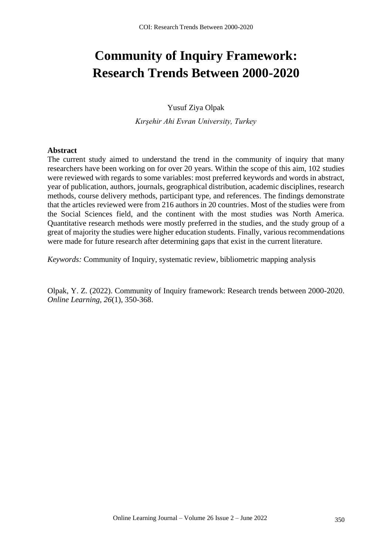# **Community of Inquiry Framework: Research Trends Between 2000-2020**

Yusuf Ziya Olpak

*Kırşehir Ahi Evran University, Turkey*

## **Abstract**

The current study aimed to understand the trend in the community of inquiry that many researchers have been working on for over 20 years. Within the scope of this aim, 102 studies were reviewed with regards to some variables: most preferred keywords and words in abstract, year of publication, authors, journals, geographical distribution, academic disciplines, research methods, course delivery methods, participant type, and references. The findings demonstrate that the articles reviewed were from 216 authors in 20 countries. Most of the studies were from the Social Sciences field, and the continent with the most studies was North America. Quantitative research methods were mostly preferred in the studies, and the study group of a great of majority the studies were higher education students. Finally, various recommendations were made for future research after determining gaps that exist in the current literature.

*Keywords:* Community of Inquiry, systematic review, bibliometric mapping analysis

Olpak, Y. Z. (2022). Community of Inquiry framework: Research trends between 2000-2020. *Online Learning, 26*(1), 350-368.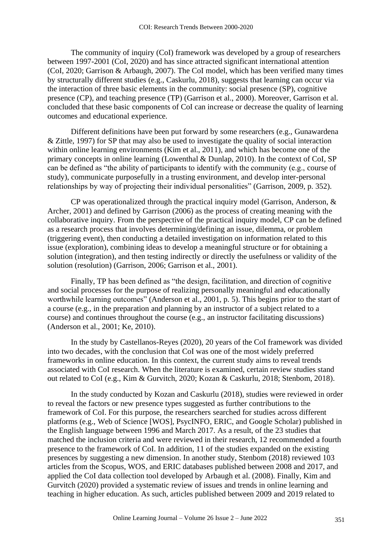The community of inquiry (CoI) framework was developed by a group of researchers between 1997-2001 (CoI, 2020) and has since attracted significant international attention (CoI, 2020; Garrison & Arbaugh, 2007). The CoI model, which has been verified many times by structurally different studies (e.g., Caskurlu, 2018), suggests that learning can occur via the interaction of three basic elements in the community: social presence (SP), cognitive presence (CP), and teaching presence (TP) (Garrison et al., 2000). Moreover, Garrison et al. concluded that these basic components of CoI can increase or decrease the quality of learning outcomes and educational experience.

Different definitions have been put forward by some researchers (e.g., Gunawardena & Zittle, 1997) for SP that may also be used to investigate the quality of social interaction within online learning environments (Kim et al., 2011), and which has become one of the primary concepts in online learning (Lowenthal & Dunlap, 2010). In the context of CoI, SP can be defined as "the ability of participants to identify with the community (e.g., course of study), communicate purposefully in a trusting environment, and develop inter-personal relationships by way of projecting their individual personalities" (Garrison, 2009, p. 352).

CP was operationalized through the practical inquiry model (Garrison, Anderson, & Archer, 2001) and defined by Garrison (2006) as the process of creating meaning with the collaborative inquiry. From the perspective of the practical inquiry model, CP can be defined as a research process that involves determining/defining an issue, dilemma, or problem (triggering event), then conducting a detailed investigation on information related to this issue (exploration), combining ideas to develop a meaningful structure or for obtaining a solution (integration), and then testing indirectly or directly the usefulness or validity of the solution (resolution) (Garrison, 2006; Garrison et al., 2001).

Finally, TP has been defined as "the design, facilitation, and direction of cognitive and social processes for the purpose of realizing personally meaningful and educationally worthwhile learning outcomes" (Anderson et al., 2001, p. 5). This begins prior to the start of a course (e.g., in the preparation and planning by an instructor of a subject related to a course) and continues throughout the course (e.g., an instructor facilitating discussions) (Anderson et al., 2001; Ke, 2010).

In the study by Castellanos-Reyes (2020), 20 years of the CoI framework was divided into two decades, with the conclusion that CoI was one of the most widely preferred frameworks in online education. In this context, the current study aims to reveal trends associated with CoI research. When the literature is examined, certain review studies stand out related to CoI (e.g., Kim & Gurvitch, 2020; Kozan & Caskurlu, 2018; Stenbom, 2018).

In the study conducted by Kozan and Caskurlu (2018), studies were reviewed in order to reveal the factors or new presence types suggested as further contributions to the framework of CoI. For this purpose, the researchers searched for studies across different platforms (e.g., Web of Science [WOS], PsycINFO, ERIC, and Google Scholar) published in the English language between 1996 and March 2017. As a result, of the 23 studies that matched the inclusion criteria and were reviewed in their research, 12 recommended a fourth presence to the framework of CoI. In addition, 11 of the studies expanded on the existing presences by suggesting a new dimension. In another study, Stenbom (2018) reviewed 103 articles from the Scopus, WOS, and ERIC databases published between 2008 and 2017, and applied the CoI data collection tool developed by Arbaugh et al. (2008). Finally, Kim and Gurvitch (2020) provided a systematic review of issues and trends in online learning and teaching in higher education. As such, articles published between 2009 and 2019 related to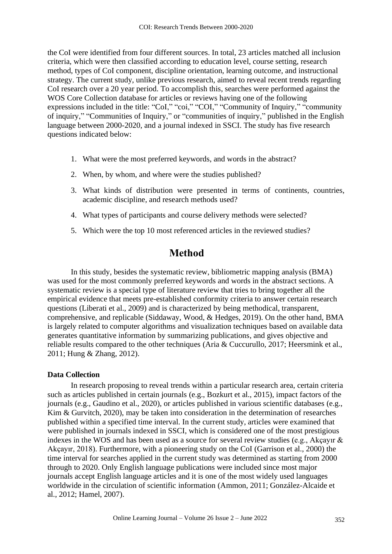the CoI were identified from four different sources. In total, 23 articles matched all inclusion criteria, which were then classified according to education level, course setting, research method, types of CoI component, discipline orientation, learning outcome, and instructional strategy. The current study, unlike previous research, aimed to reveal recent trends regarding CoI research over a 20 year period. To accomplish this, searches were performed against the WOS Core Collection database for articles or reviews having one of the following expressions included in the title: "CoI," "coi," "COI," "Community of Inquiry," "community of inquiry," "Communities of Inquiry," or "communities of inquiry," published in the English language between 2000-2020, and a journal indexed in SSCI. The study has five research questions indicated below:

- 1. What were the most preferred keywords, and words in the abstract?
- 2. When, by whom, and where were the studies published?
- 3. What kinds of distribution were presented in terms of continents, countries, academic discipline, and research methods used?
- 4. What types of participants and course delivery methods were selected?
- 5. Which were the top 10 most referenced articles in the reviewed studies?

# **Method**

In this study, besides the systematic review, bibliometric mapping analysis (BMA) was used for the most commonly preferred keywords and words in the abstract sections. A systematic review is a special type of literature review that tries to bring together all the empirical evidence that meets pre-established conformity criteria to answer certain research questions (Liberati et al., 2009) and is characterized by being methodical, transparent, comprehensive, and replicable (Siddaway, Wood, & Hedges, 2019). On the other hand, BMA is largely related to computer algorithms and visualization techniques based on available data generates quantitative information by summarizing publications, and gives objective and reliable results compared to the other techniques (Aria & Cuccurullo, 2017; Heersmink et al., 2011; Hung & Zhang, 2012).

## **Data Collection**

In research proposing to reveal trends within a particular research area, certain criteria such as articles published in certain journals (e.g., Bozkurt et al., 2015), impact factors of the journals (e.g., Gaudino et al., 2020), or articles published in various scientific databases (e.g., Kim & Gurvitch, 2020), may be taken into consideration in the determination of researches published within a specified time interval. In the current study, articles were examined that were published in journals indexed in SSCI, which is considered one of the most prestigious indexes in the WOS and has been used as a source for several review studies (e.g., Akçayır & Akçayır, 2018). Furthermore, with a pioneering study on the CoI (Garrison et al., 2000) the time interval for searches applied in the current study was determined as starting from 2000 through to 2020. Only English language publications were included since most major journals accept English language articles and it is one of the most widely used languages worldwide in the circulation of scientific information (Ammon, 2011; González-Alcaide et al., 2012; Hamel, 2007).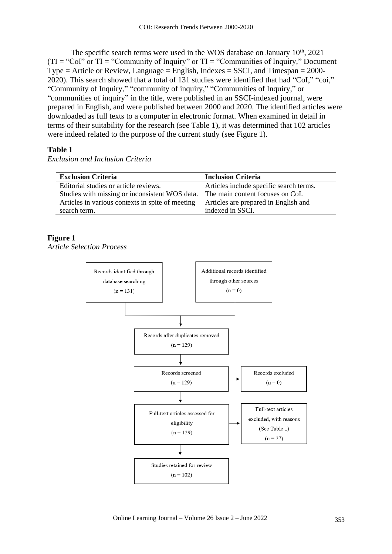The specific search terms were used in the WOS database on January 10<sup>th</sup>, 2021  $(TI = "Col" or TI = "Commanity of Inquiry" or TI = "Commanities of Inquiry," Document$  $Type = Article or Review, Language = English, Indexes = SSCI, and Timespan = 2000-$ 2020). This search showed that a total of 131 studies were identified that had "CoI," "coi," "Community of Inquiry," "community of inquiry," "Communities of Inquiry," or "communities of inquiry" in the title, were published in an SSCI-indexed journal, were prepared in English, and were published between 2000 and 2020. The identified articles were downloaded as full texts to a computer in electronic format. When examined in detail in terms of their suitability for the research (see Table 1), it was determined that 102 articles were indeed related to the purpose of the current study (see Figure 1).

## **Table 1**

*Exclusion and Inclusion Criteria*

| <b>Exclusion Criteria</b>                                                       | <b>Inclusion Criteria</b>               |
|---------------------------------------------------------------------------------|-----------------------------------------|
| Editorial studies or article reviews.                                           | Articles include specific search terms. |
| Studies with missing or inconsistent WOS data. The main content focuses on CoI. |                                         |
| Articles in various contexts in spite of meeting                                | Articles are prepared in English and    |
| search term.                                                                    | indexed in SSCI.                        |

## **Figure 1**

*Article Selection Process*

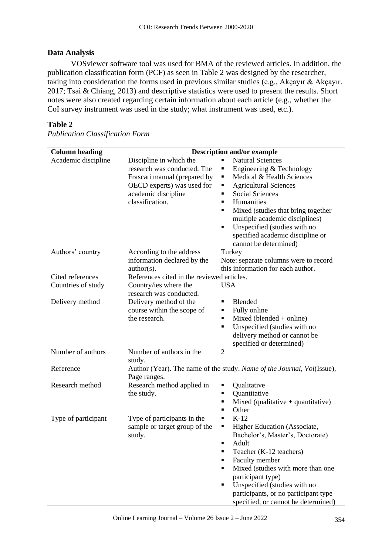## **Data Analysis**

VOSviewer software tool was used for BMA of the reviewed articles. In addition, the publication classification form (PCF) as seen in Table 2 was designed by the researcher, taking into consideration the forms used in previous similar studies (e.g., Akçayır & Akçayır, 2017; Tsai & Chiang, 2013) and descriptive statistics were used to present the results. Short notes were also created regarding certain information about each article (e.g., whether the CoI survey instrument was used in the study; what instrument was used, etc.).

## **Table 2**

| <b>Column</b> heading |                                                                                                                                                                | <b>Description and/or example</b>                                                                                                                                                                                                                                                                                                                                                                            |
|-----------------------|----------------------------------------------------------------------------------------------------------------------------------------------------------------|--------------------------------------------------------------------------------------------------------------------------------------------------------------------------------------------------------------------------------------------------------------------------------------------------------------------------------------------------------------------------------------------------------------|
| Academic discipline   | Discipline in which the<br>research was conducted. The<br>Frascati manual (prepared by<br>OECD experts) was used for<br>academic discipline<br>classification. | <b>Natural Sciences</b><br>٠<br>Engineering & Technology<br>٠<br>Medical & Health Sciences<br>Ξ<br><b>Agricultural Sciences</b><br>Ξ<br><b>Social Sciences</b><br>$\blacksquare$<br>Humanities<br>$\blacksquare$<br>Mixed (studies that bring together<br>٠<br>multiple academic disciplines)<br>Unspecified (studies with no<br>$\blacksquare$<br>specified academic discipline or<br>cannot be determined) |
| Authors' country      | According to the address<br>information declared by the<br>$author(s)$ .                                                                                       | Turkey<br>Note: separate columns were to record<br>this information for each author.                                                                                                                                                                                                                                                                                                                         |
| Cited references      | References cited in the reviewed articles.                                                                                                                     |                                                                                                                                                                                                                                                                                                                                                                                                              |
| Countries of study    | Country/ies where the<br>research was conducted.                                                                                                               | <b>USA</b>                                                                                                                                                                                                                                                                                                                                                                                                   |
| Delivery method       | Delivery method of the<br>course within the scope of<br>the research.                                                                                          | Blended<br>$\blacksquare$<br>Fully online<br>٠<br>Mixed (blended + online)<br>$\blacksquare$<br>Unspecified (studies with no<br>٠<br>delivery method or cannot be<br>specified or determined)                                                                                                                                                                                                                |
| Number of authors     | Number of authors in the<br>study.                                                                                                                             | $\overline{2}$                                                                                                                                                                                                                                                                                                                                                                                               |
| Reference             | Page ranges.                                                                                                                                                   | Author (Year). The name of the study. Name of the Journal, Vol(Issue),                                                                                                                                                                                                                                                                                                                                       |
| Research method       | Research method applied in<br>the study.                                                                                                                       | Qualitative<br>٠<br>Quantitative<br>٠<br>Mixed (qualitative $+$ quantitative)<br>٠<br>Other<br>٠                                                                                                                                                                                                                                                                                                             |
| Type of participant   | Type of participants in the<br>sample or target group of the<br>study.                                                                                         | $K-12$<br>$\blacksquare$<br>Higher Education (Associate,<br>٠<br>Bachelor's, Master's, Doctorate)<br>Adult<br>٠<br>Teacher (K-12 teachers)<br>$\blacksquare$<br>Faculty member<br>٠<br>Mixed (studies with more than one<br>٠<br>participant type)<br>Unspecified (studies with no<br>٠<br>participants, or no participant type<br>specified, or cannot be determined)                                       |

*Publication Classification Form*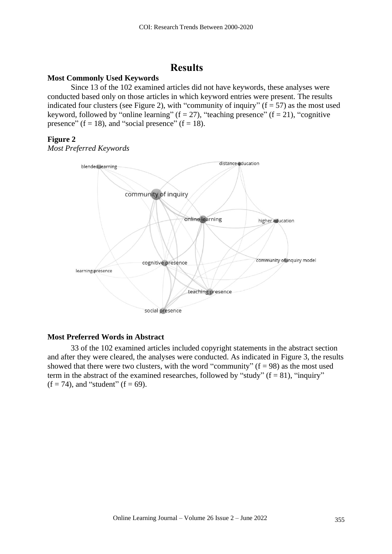# **Results**

## **Most Commonly Used Keywords**

Since 13 of the 102 examined articles did not have keywords, these analyses were conducted based only on those articles in which keyword entries were present. The results indicated four clusters (see Figure 2), with "community of inquiry" ( $f = 57$ ) as the most used keyword, followed by "online learning" ( $f = 27$ ), "teaching presence" ( $f = 21$ ), "cognitive presence" (f = 18), and "social presence" (f = 18).

### **Figure 2**

*Most Preferred Keywords*



## **Most Preferred Words in Abstract**

33 of the 102 examined articles included copyright statements in the abstract section and after they were cleared, the analyses were conducted. As indicated in Figure 3, the results showed that there were two clusters, with the word "community"  $(f = 98)$  as the most used term in the abstract of the examined researches, followed by "study" ( $f = 81$ ), "inquiry"  $(f = 74)$ , and "student"  $(f = 69)$ .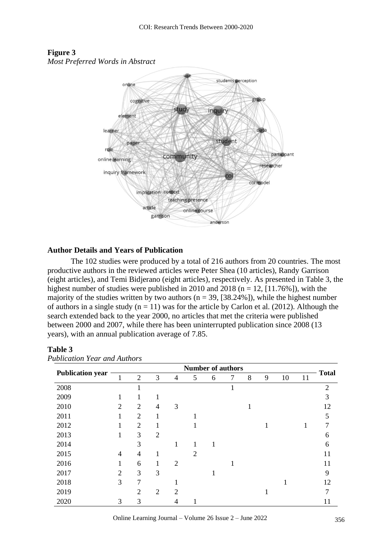

# **Figure 3**

### **Author Details and Years of Publication**

The 102 studies were produced by a total of 216 authors from 20 countries. The most productive authors in the reviewed articles were Peter Shea (10 articles), Randy Garrison (eight articles), and Temi Bidjerano (eight articles), respectively. As presented in Table 3, the highest number of studies were published in 2010 and 2018 ( $n = 12$ , [11.76%]), with the majority of the studies written by two authors ( $n = 39$ , [38.24%]), while the highest number of authors in a single study  $(n = 11)$  was for the article by Carlon et al. (2012). Although the search extended back to the year 2000, no articles that met the criteria were published between 2000 and 2007, while there has been uninterrupted publication since 2008 (13 years), with an annual publication average of 7.85.

## **Table 3**

|                         |                |                |                |                | <b>Number of authors</b> |   |              |   |   |    |    | <b>Total</b>   |
|-------------------------|----------------|----------------|----------------|----------------|--------------------------|---|--------------|---|---|----|----|----------------|
| <b>Publication year</b> | 1              | $\overline{2}$ | 3              | 4              | 5                        | 6 | 7            | 8 | 9 | 10 | 11 |                |
| 2008                    |                | 1              |                |                |                          |   | $\mathbf{1}$ |   |   |    |    | $\overline{2}$ |
| 2009                    | 1              | 1              |                |                |                          |   |              |   |   |    |    | 3              |
| 2010                    | $\overline{2}$ | $\overline{2}$ | 4              | 3              |                          |   |              | 1 |   |    |    | 12             |
| 2011                    | 1              | $\overline{2}$ |                |                |                          |   |              |   |   |    |    | 5              |
| 2012                    | 1              | $\overline{2}$ | 1              |                |                          |   |              |   |   |    | 1  | 7              |
| 2013                    | 1              | 3              | $\overline{2}$ |                |                          |   |              |   |   |    |    | 6              |
| 2014                    |                | 3              |                | 1              | 1                        | 1 |              |   |   |    |    | 6              |
| 2015                    | 4              | $\overline{4}$ |                |                | $\overline{2}$           |   |              |   |   |    |    | 11             |
| 2016                    | 1              | 6              | 1              | $\overline{2}$ |                          |   | 1            |   |   |    |    | 11             |
| 2017                    | $\overline{2}$ | 3              | 3              |                |                          | T |              |   |   |    |    | 9              |
| 2018                    | 3              | $\overline{7}$ |                |                |                          |   |              |   |   |    |    | 12             |
| 2019                    |                | $\overline{2}$ | $\overline{2}$ | $\overline{2}$ |                          |   |              |   |   |    |    | $\mathcal{I}$  |
| 2020                    | 3              | 3              |                | 4              |                          |   |              |   |   |    |    | 11             |

### *Publication Year and Authors*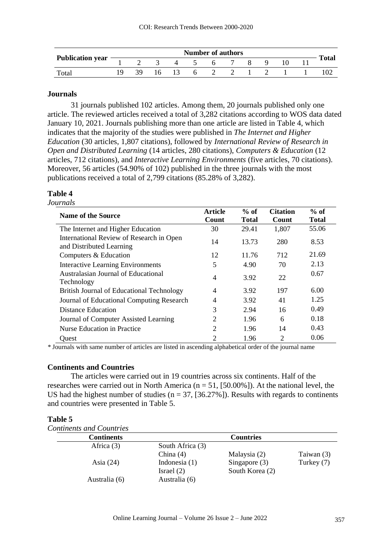|                         |                             |       | <b>Number of authors</b> |              |  |              |
|-------------------------|-----------------------------|-------|--------------------------|--------------|--|--------------|
| <b>Publication year</b> | $1 \t2 \t3 \t4 \t5 \t6 \t7$ |       |                          | $\mathbf{8}$ |  | <b>Total</b> |
| Total                   |                             | 16 13 | 6 2 2 1 2                |              |  |              |

### **Journals**

31 journals published 102 articles. Among them, 20 journals published only one article. The reviewed articles received a total of 3,282 citations according to WOS data dated January 10, 2021. Journals publishing more than one article are listed in Table 4, which indicates that the majority of the studies were published in *The Internet and Higher Education* (30 articles, 1,807 citations), followed by *International Review of Research in Open and Distributed Learning* (14 articles, 280 citations), *Computers & Education* (12 articles, 712 citations), and *Interactive Learning Environments* (five articles, 70 citations). Moreover, 56 articles (54.90% of 102) published in the three journals with the most publications received a total of 2,799 citations (85.28% of 3,282).

## **Table 4**

## *Journals*

| <b>Name of the Source</b>                                            | <b>Article</b><br>Count | $%$ of<br><b>Total</b> | <b>Citation</b><br>Count | $%$ of<br><b>Total</b> |
|----------------------------------------------------------------------|-------------------------|------------------------|--------------------------|------------------------|
| The Internet and Higher Education                                    | 30                      | 29.41                  | 1,807                    | 55.06                  |
| International Review of Research in Open<br>and Distributed Learning | 14                      | 13.73                  | 280                      | 8.53                   |
| Computers & Education                                                | 12                      | 11.76                  | 712                      | 21.69                  |
| <b>Interactive Learning Environments</b>                             | 5                       | 4.90                   | 70                       | 2.13                   |
| Australasian Journal of Educational<br>Technology                    | $\overline{4}$          | 3.92                   | 22                       | 0.67                   |
| British Journal of Educational Technology                            | $\overline{4}$          | 3.92                   | 197                      | 6.00                   |
| Journal of Educational Computing Research                            | $\overline{4}$          | 3.92                   | 41                       | 1.25                   |
| <b>Distance Education</b>                                            | 3                       | 2.94                   | 16                       | 0.49                   |
| Journal of Computer Assisted Learning                                | $\overline{2}$          | 1.96                   | 6                        | 0.18                   |
| Nurse Education in Practice                                          | $\overline{2}$          | 1.96                   | 14                       | 0.43                   |
| Quest                                                                | 2                       | 1.96                   | $\overline{2}$           | 0.06                   |

*\** Journals with same number of articles are listed in ascending alphabetical order of the journal name

### **Continents and Countries**

The articles were carried out in 19 countries across six continents. Half of the researches were carried out in North America ( $n = 51$ , [50,00%]). At the national level, the US had the highest number of studies ( $n = 37$ , [36.27%]). Results with regards to continents and countries were presented in Table 5.

### **Table 5**

| <b>Continents and Countries</b> |  |  |  |
|---------------------------------|--|--|--|
|---------------------------------|--|--|--|

| <b>Continents</b> |                  | <b>Countries</b> |            |
|-------------------|------------------|------------------|------------|
| Africa $(3)$      | South Africa (3) |                  |            |
|                   | China $(4)$      | Malaysia (2)     | Taiwan (3) |
| Asia $(24)$       | Indonesia $(1)$  | Singapore $(3)$  | Turkey (7) |
|                   | Israel $(2)$     | South Korea (2)  |            |
| Australia (6)     | Australia (6)    |                  |            |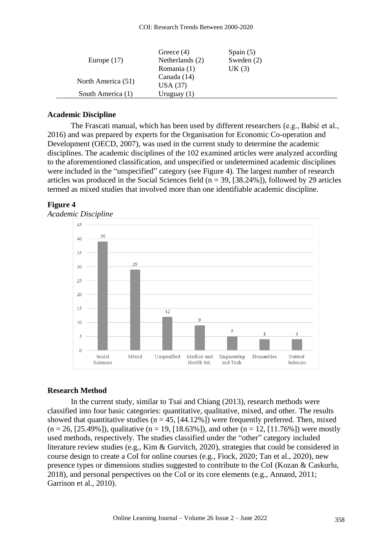| Europe $(17)$      | Greece $(4)$<br>Netherlands (2)<br>Romania (1) | Spain $(5)$<br>Sweden $(2)$<br>UK(3) |
|--------------------|------------------------------------------------|--------------------------------------|
| North America (51) | Canada (14)<br>USA(37)                         |                                      |
| South America (1)  | Uruguay $(1)$                                  |                                      |

#### **Academic Discipline**

The Frascati manual, which has been used by different researchers (e.g., Babić et al., 2016) and was prepared by experts for the Organisation for Economic Co-operation and Development (OECD, 2007), was used in the current study to determine the academic disciplines. The academic disciplines of the 102 examined articles were analyzed according to the aforementioned classification, and unspecified or undetermined academic disciplines were included in the "unspecified" category (see Figure 4). The largest number of research articles was produced in the Social Sciences field  $(n = 39, [38.24\%])$ , followed by 29 articles termed as mixed studies that involved more than one identifiable academic discipline.

### **Figure 4**





### **Research Method**

In the current study, similar to Tsai and Chiang (2013), research methods were classified into four basic categories: quantitative, qualitative, mixed, and other. The results showed that quantitative studies ( $n = 45$ , [44.12%]) were frequently preferred. Then, mixed  $(n = 26, [25.49\%])$ , qualitative  $(n = 19, [18.63\%])$ , and other  $(n = 12, [11.76\%])$  were mostly used methods, respectively. The studies classified under the "other" category included literature review studies (e.g., Kim & Gurvitch, 2020), strategies that could be considered in course design to create a CoI for online courses (e.g., Fiock, 2020; Tan et al., 2020), new presence types or dimensions studies suggested to contribute to the CoI (Kozan & Caskurlu, 2018), and personal perspectives on the CoI or its core elements (e.g., Annand, 2011; Garrison et al., 2010).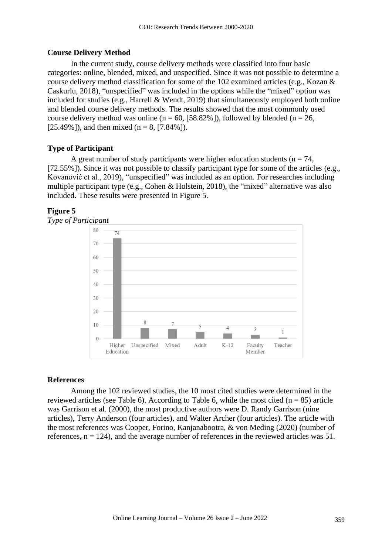## **Course Delivery Method**

In the current study, course delivery methods were classified into four basic categories: online, blended, mixed, and unspecified. Since it was not possible to determine a course delivery method classification for some of the 102 examined articles (e.g., Kozan & Caskurlu, 2018), "unspecified" was included in the options while the "mixed" option was included for studies (e.g., Harrell & Wendt, 2019) that simultaneously employed both online and blended course delivery methods. The results showed that the most commonly used course delivery method was online ( $n = 60$ , [58.82%]), followed by blended ( $n = 26$ , [25.49%]), and then mixed (n = 8, [7.84%]).

## **Type of Participant**

A great number of study participants were higher education students ( $n = 74$ , [72.55%]). Since it was not possible to classify participant type for some of the articles (e.g., Kovanović et al., 2019), "unspecified" was included as an option. For researches including multiple participant type (e.g., Cohen & Holstein, 2018), the "mixed" alternative was also included. These results were presented in Figure 5.

## **Figure 5**



### **References**

Among the 102 reviewed studies, the 10 most cited studies were determined in the reviewed articles (see Table 6). According to Table 6, while the most cited ( $n = 85$ ) article was Garrison et al. (2000), the most productive authors were D. Randy Garrison (nine articles), Terry Anderson (four articles), and Walter Archer (four articles). The article with the most references was Cooper, Forino, Kanjanabootra, & von Meding (2020) (number of references,  $n = 124$ ), and the average number of references in the reviewed articles was 51.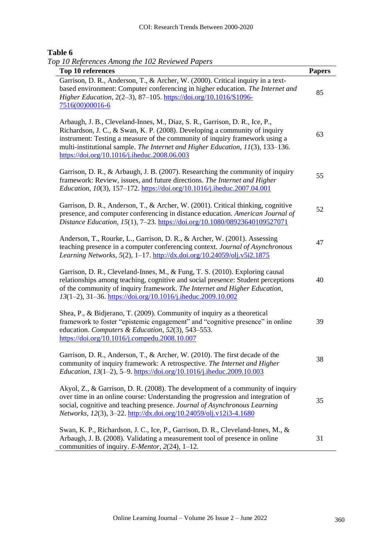## **Table 6**

*Top 10 References Among the 102 Reviewed Papers*

| 10 References rimong the 102 Reviewed I apers<br>Top 10 references                                                                                                                                                                                                                                                                                                         | <b>Papers</b> |
|----------------------------------------------------------------------------------------------------------------------------------------------------------------------------------------------------------------------------------------------------------------------------------------------------------------------------------------------------------------------------|---------------|
| Garrison, D. R., Anderson, T., & Archer, W. (2000). Critical inquiry in a text-<br>based environment: Computer conferencing in higher education. The Internet and<br>Higher Education, 2(2-3), 87-105. https://doi.org/10.1016/S1096-<br>7516(00)00016-6                                                                                                                   | 85            |
| Arbaugh, J. B., Cleveland-Innes, M., Diaz, S. R., Garrison, D. R., Ice, P.,<br>Richardson, J. C., & Swan, K. P. (2008). Developing a community of inquiry<br>instrument: Testing a measure of the community of inquiry framework using a<br>multi-institutional sample. The Internet and Higher Education, 11(3), 133-136.<br>https://doi.org/10.1016/j.iheduc.2008.06.003 | 63            |
| Garrison, D. R., & Arbaugh, J. B. (2007). Researching the community of inquiry<br>framework: Review, issues, and future directions. The Internet and Higher<br>Education, 10(3), 157-172. https://doi.org/10.1016/j.iheduc.2007.04.001                                                                                                                                     | 55            |
| Garrison, D. R., Anderson, T., & Archer, W. (2001). Critical thinking, cognitive<br>presence, and computer conferencing in distance education. American Journal of<br>Distance Education, 15(1), 7-23. https://doi.org/10.1080/08923640109527071                                                                                                                           | 52            |
| Anderson, T., Rourke, L., Garrison, D. R., & Archer, W. (2001). Assessing<br>teaching presence in a computer conferencing context. Journal of Asynchronous<br>Learning Networks, 5(2), 1-17. http://dx.doi.org/10.24059/olj.v5i2.1875                                                                                                                                      | 47            |
| Garrison, D. R., Cleveland-Innes, M., & Fung, T. S. (2010). Exploring causal<br>relationships among teaching, cognitive and social presence: Student perceptions<br>of the community of inquiry framework. The Internet and Higher Education,<br>13(1-2), 31-36. https://doi.org/10.1016/j.iheduc.2009.10.002                                                              | 40            |
| Shea, P., & Bidjerano, T. (2009). Community of inquiry as a theoretical<br>framework to foster "epistemic engagement" and "cognitive presence" in online<br>education. Computers & Education, 52(3), 543-553.<br>https://doi.org/10.1016/j.compedu.2008.10.007                                                                                                             | 39            |
| Garrison, D. R., Anderson, T., & Archer, W. (2010). The first decade of the<br>community of inquiry framework: A retrospective. The Internet and Higher<br>Education, 13(1-2), 5-9. https://doi.org/10.1016/j.iheduc.2009.10.003                                                                                                                                           | 38            |
| Akyol, Z., & Garrison, D. R. (2008). The development of a community of inquiry<br>over time in an online course: Understanding the progression and integration of<br>social, cognitive and teaching presence. Journal of Asynchronous Learning<br>Networks, 12(3), 3-22. http://dx.doi.org/10.24059/olj.v12i3-4.1680                                                       | 35            |
| Swan, K. P., Richardson, J. C., Ice, P., Garrison, D. R., Cleveland-Innes, M., &<br>Arbaugh, J. B. (2008). Validating a measurement tool of presence in online<br>communities of inquiry. E-Mentor, $2(24)$ , 1-12.                                                                                                                                                        | 31            |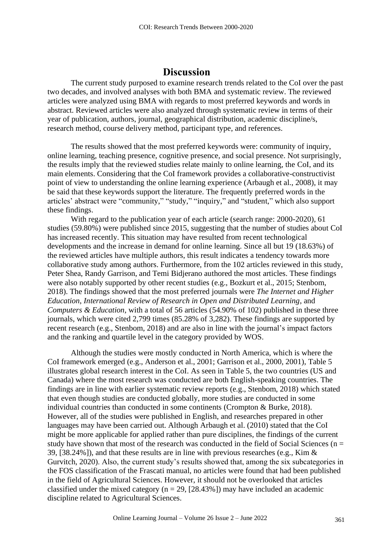# **Discussion**

The current study purposed to examine research trends related to the CoI over the past two decades, and involved analyses with both BMA and systematic review. The reviewed articles were analyzed using BMA with regards to most preferred keywords and words in abstract. Reviewed articles were also analyzed through systematic review in terms of their year of publication, authors, journal, geographical distribution, academic discipline/s, research method, course delivery method, participant type, and references.

The results showed that the most preferred keywords were: community of inquiry, online learning, teaching presence, cognitive presence, and social presence. Not surprisingly, the results imply that the reviewed studies relate mainly to online learning, the CoI, and its main elements. Considering that the CoI framework provides a collaborative-constructivist point of view to understanding the online learning experience (Arbaugh et al., 2008), it may be said that these keywords support the literature. The frequently preferred words in the articles' abstract were "community," "study," "inquiry," and "student," which also support these findings.

With regard to the publication year of each article (search range: 2000-2020), 61 studies (59.80%) were published since 2015, suggesting that the number of studies about CoI has increased recently. This situation may have resulted from recent technological developments and the increase in demand for online learning. Since all but 19 (18.63%) of the reviewed articles have multiple authors, this result indicates a tendency towards more collaborative study among authors. Furthermore, from the 102 articles reviewed in this study, Peter Shea, Randy Garrison, and Temi Bidjerano authored the most articles. These findings were also notably supported by other recent studies (e.g., Bozkurt et al., 2015; Stenbom, 2018). The findings showed that the most preferred journals were *The Internet and Higher Education*, *International Review of Research in Open and Distributed Learning*, and *Computers & Education*, with a total of 56 articles (54.90% of 102) published in these three journals, which were cited 2,799 times (85.28% of 3,282). These findings are supported by recent research (e.g., Stenbom, 2018) and are also in line with the journal's impact factors and the ranking and quartile level in the category provided by WOS.

Although the studies were mostly conducted in North America, which is where the CoI framework emerged (e.g., Anderson et al., 2001; Garrison et al., 2000, 2001), Table 5 illustrates global research interest in the CoI. As seen in Table 5, the two countries (US and Canada) where the most research was conducted are both English-speaking countries. The findings are in line with earlier systematic review reports (e.g., Stenbom, 2018) which stated that even though studies are conducted globally, more studies are conducted in some individual countries than conducted in some continents (Crompton & Burke, 2018). However, all of the studies were published in English, and researches prepared in other languages may have been carried out. Although Arbaugh et al. (2010) stated that the CoI might be more applicable for applied rather than pure disciplines, the findings of the current study have shown that most of the research was conducted in the field of Social Sciences ( $n =$ 39, [38.24%]), and that these results are in line with previous researches (e.g., Kim & Gurvitch, 2020). Also, the current study's results showed that, among the six subcategories in the FOS classification of the Frascati manual, no articles were found that had been published in the field of Agricultural Sciences. However, it should not be overlooked that articles classified under the mixed category ( $n = 29$ , [28.43%]) may have included an academic discipline related to Agricultural Sciences.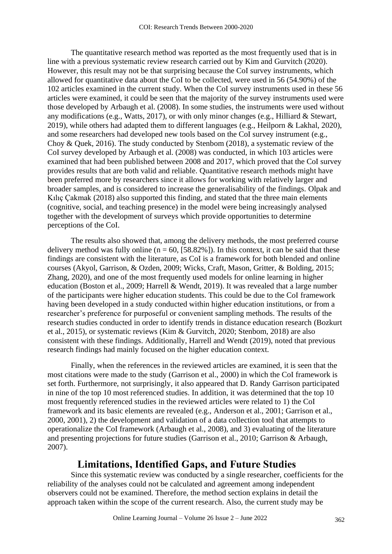The quantitative research method was reported as the most frequently used that is in line with a previous systematic review research carried out by Kim and Gurvitch (2020). However, this result may not be that surprising because the CoI survey instruments, which allowed for quantitative data about the CoI to be collected, were used in 56 (54.90%) of the 102 articles examined in the current study. When the CoI survey instruments used in these 56 articles were examined, it could be seen that the majority of the survey instruments used were those developed by Arbaugh et al. (2008). In some studies, the instruments were used without any modifications (e.g., Watts, 2017), or with only minor changes (e.g., Hilliard & Stewart, 2019), while others had adapted them to different languages (e.g., Heilporn & Lakhal, 2020), and some researchers had developed new tools based on the CoI survey instrument (e.g., Choy & Quek, 2016). The study conducted by Stenbom (2018), a systematic review of the CoI survey developed by Arbaugh et al. (2008) was conducted, in which 103 articles were examined that had been published between 2008 and 2017, which proved that the CoI survey provides results that are both valid and reliable. Quantitative research methods might have been preferred more by researchers since it allows for working with relatively larger and broader samples, and is considered to increase the generalisability of the findings. Olpak and Kılıç Çakmak (2018) also supported this finding, and stated that the three main elements (cognitive, social, and teaching presence) in the model were being increasingly analysed together with the development of surveys which provide opportunities to determine perceptions of the CoI.

The results also showed that, among the delivery methods, the most preferred course delivery method was fully online ( $n = 60$ , [58.82%]). In this context, it can be said that these findings are consistent with the literature, as CoI is a framework for both blended and online courses (Akyol, Garrison, & Ozden, 2009; Wicks, Craft, Mason, Gritter, & Bolding, 2015; Zhang, 2020), and one of the most frequently used models for online learning in higher education (Boston et al., 2009; Harrell & Wendt, 2019). It was revealed that a large number of the participants were higher education students. This could be due to the CoI framework having been developed in a study conducted within higher education institutions, or from a researcher's preference for purposeful or convenient sampling methods. The results of the research studies conducted in order to identify trends in distance education research (Bozkurt et al., 2015), or systematic reviews (Kim & Gurvitch, 2020; Stenbom, 2018) are also consistent with these findings. Additionally, Harrell and Wendt (2019), noted that previous research findings had mainly focused on the higher education context.

Finally, when the references in the reviewed articles are examined, it is seen that the most citations were made to the study (Garrison et al., 2000) in which the CoI framework is set forth. Furthermore, not surprisingly, it also appeared that D. Randy Garrison participated in nine of the top 10 most referenced studies. In addition, it was determined that the top 10 most frequently referenced studies in the reviewed articles were related to 1) the CoI framework and its basic elements are revealed (e.g., Anderson et al., 2001; Garrison et al., 2000, 2001), 2) the development and validation of a data collection tool that attempts to operationalize the CoI framework (Arbaugh et al., 2008), and 3) evaluating of the literature and presenting projections for future studies (Garrison et al., 2010; Garrison & Arbaugh, 2007).

## **Limitations, Identified Gaps, and Future Studies**

Since this systematic review was conducted by a single researcher, coefficients for the reliability of the analyses could not be calculated and agreement among independent observers could not be examined. Therefore, the method section explains in detail the approach taken within the scope of the current research. Also, the current study may be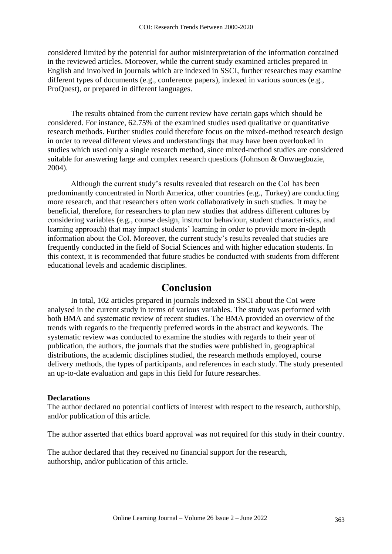considered limited by the potential for author misinterpretation of the information contained in the reviewed articles. Moreover, while the current study examined articles prepared in English and involved in journals which are indexed in SSCI, further researches may examine different types of documents (e.g., conference papers), indexed in various sources (e.g., ProQuest), or prepared in different languages.

The results obtained from the current review have certain gaps which should be considered. For instance, 62.75% of the examined studies used qualitative or quantitative research methods. Further studies could therefore focus on the mixed-method research design in order to reveal different views and understandings that may have been overlooked in studies which used only a single research method, since mixed-method studies are considered suitable for answering large and complex research questions (Johnson & Onwuegbuzie, 2004).

Although the current study's results revealed that research on the CoI has been predominantly concentrated in North America, other countries (e.g., Turkey) are conducting more research, and that researchers often work collaboratively in such studies. It may be beneficial, therefore, for researchers to plan new studies that address different cultures by considering variables (e.g., course design, instructor behaviour, student characteristics, and learning approach) that may impact students' learning in order to provide more in-depth information about the CoI. Moreover, the current study's results revealed that studies are frequently conducted in the field of Social Sciences and with higher education students. In this context, it is recommended that future studies be conducted with students from different educational levels and academic disciplines.

## **Conclusion**

In total, 102 articles prepared in journals indexed in SSCI about the CoI were analysed in the current study in terms of various variables. The study was performed with both BMA and systematic review of recent studies. The BMA provided an overview of the trends with regards to the frequently preferred words in the abstract and keywords. The systematic review was conducted to examine the studies with regards to their year of publication, the authors, the journals that the studies were published in, geographical distributions, the academic disciplines studied, the research methods employed, course delivery methods, the types of participants, and references in each study. The study presented an up-to-date evaluation and gaps in this field for future researches.

#### **Declarations**

The author declared no potential conflicts of interest with respect to the research, authorship, and/or publication of this article.

The author asserted that ethics board approval was not required for this study in their country.

The author declared that they received no financial support for the research, authorship, and/or publication of this article.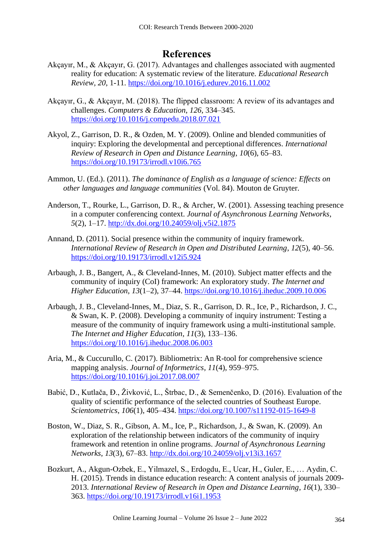## **References**

- Akçayır, M., & Akçayır, G. (2017). Advantages and challenges associated with augmented reality for education: A systematic review of the literature. *Educational Research Review, 20*, 1-11.<https://doi.org/10.1016/j.edurev.2016.11.002>
- Akçayır, G., & Akçayır, M. (2018). The flipped classroom: A review of its advantages and challenges. *Computers & Education*, *126*, 334–345. <https://doi.org/10.1016/j.compedu.2018.07.021>
- Akyol, Z., Garrison, D. R., & Ozden, M. Y. (2009). Online and blended communities of inquiry: Exploring the developmental and perceptional differences. *International Review of Research in Open and Distance Learning*, *10*(6), 65–83. <https://doi.org/10.19173/irrodl.v10i6.765>
- Ammon, U. (Ed.). (2011). *The dominance of English as a language of science: Effects on other languages and language communities* (Vol. 84). Mouton de Gruyter.
- Anderson, T., Rourke, L., Garrison, D. R., & Archer, W. (2001). Assessing teaching presence in a computer conferencing context. *Journal of Asynchronous Learning Networks*, *5*(2), 1–17. <http://dx.doi.org/10.24059/olj.v5i2.1875>
- Annand, D. (2011). Social presence within the community of inquiry framework. *International Review of Research in Open and Distributed Learning*, *12*(5), 40–56. <https://doi.org/10.19173/irrodl.v12i5.924>
- Arbaugh, J. B., Bangert, A., & Cleveland-Innes, M. (2010). Subject matter effects and the community of inquiry (CoI) framework: An exploratory study. *The Internet and Higher Education*, *13*(1–2), 37–44. <https://doi.org/10.1016/j.iheduc.2009.10.006>
- Arbaugh, J. B., Cleveland-Innes, M., Diaz, S. R., Garrison, D. R., Ice, P., Richardson, J. C., & Swan, K. P. (2008). Developing a community of inquiry instrument: Testing a measure of the community of inquiry framework using a multi-institutional sample. *The Internet and Higher Education*, *11*(3), 133–136. <https://doi.org/10.1016/j.iheduc.2008.06.003>
- Aria, M., & Cuccurullo, C. (2017). Bibliometrix: An R-tool for comprehensive science mapping analysis. *Journal of Informetrics*, *11*(4), 959–975. <https://doi.org/10.1016/j.joi.2017.08.007>
- Babić, D., Kutlača, Đ., Živković, L., Štrbac, D., & Semenčenko, D. (2016). Evaluation of the quality of scientific performance of the selected countries of Southeast Europe. *Scientometrics*, *106*(1), 405–434. <https://doi.org/10.1007/s11192-015-1649-8>
- Boston, W., Diaz, S. R., Gibson, A. M., Ice, P., Richardson, J., & Swan, K. (2009). An exploration of the relationship between indicators of the community of inquiry framework and retention in online programs. *Journal of Asynchronous Learning Networks*, *13*(3), 67–83. <http://dx.doi.org/10.24059/olj.v13i3.1657>
- Bozkurt, A., Akgun-Ozbek, E., Yilmazel, S., Erdogdu, E., Ucar, H., Guler, E., … Aydin, C. H. (2015). Trends in distance education research: A content analysis of journals 2009- 2013. *International Review of Research in Open and Distance Learning*, *16*(1), 330– 363.<https://doi.org/10.19173/irrodl.v16i1.1953>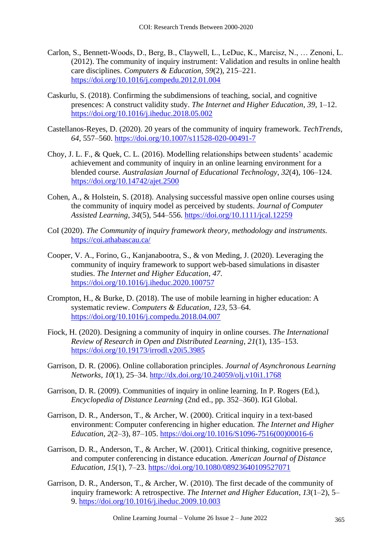- Carlon, S., Bennett-Woods, D., Berg, B., Claywell, L., LeDuc, K., Marcisz, N., … Zenoni, L. (2012). The community of inquiry instrument: Validation and results in online health care disciplines. *Computers & Education*, *59*(2), 215–221. <https://doi.org/10.1016/j.compedu.2012.01.004>
- Caskurlu, S. (2018). Confirming the subdimensions of teaching, social, and cognitive presences: A construct validity study. *The Internet and Higher Education*, *39*, 1–12. <https://doi.org/10.1016/j.iheduc.2018.05.002>
- Castellanos-Reyes, D. (2020). 20 years of the community of inquiry framework. *TechTrends*, *64*, 557–560.<https://doi.org/10.1007/s11528-020-00491-7>
- Choy, J. L. F., & Quek, C. L. (2016). Modelling relationships between students' academic achievement and community of inquiry in an online learning environment for a blended course. *Australasian Journal of Educational Technology*, *32*(4), 106–124. <https://doi.org/10.14742/ajet.2500>
- Cohen, A., & Holstein, S. (2018). Analysing successful massive open online courses using the community of inquiry model as perceived by students. *Journal of Computer Assisted Learning*, *34*(5), 544–556. <https://doi.org/10.1111/jcal.12259>
- CoI (2020). *The Community of inquiry framework theory, methodology and instruments.* <https://coi.athabascau.ca/>
- Cooper, V. A., Forino, G., Kanjanabootra, S., & von Meding, J. (2020). Leveraging the community of inquiry framework to support web-based simulations in disaster studies. *The Internet and Higher Education*, *47*. <https://doi.org/10.1016/j.iheduc.2020.100757>
- Crompton, H., & Burke, D. (2018). The use of mobile learning in higher education: A systematic review. *Computers & Education*, *123*, 53–64. <https://doi.org/10.1016/j.compedu.2018.04.007>
- Fiock, H. (2020). Designing a community of inquiry in online courses. *The International Review of Research in Open and Distributed Learning*, *21*(1), 135–153. <https://doi.org/10.19173/irrodl.v20i5.3985>
- Garrison, D. R. (2006). Online collaboration principles. *Journal of Asynchronous Learning Networks*, *10*(1), 25–34. <http://dx.doi.org/10.24059/olj.v10i1.1768>
- Garrison, D. R. (2009). Communities of inquiry in online learning. In P. Rogers (Ed.), *Encyclopedia of Distance Learning* (2nd ed., pp. 352–360). IGI Global.
- Garrison, D. R., Anderson, T., & Archer, W. (2000). Critical inquiry in a text-based environment: Computer conferencing in higher education. *The Internet and Higher Education*, *2*(2–3), 87–105. [https://doi.org/10.1016/S1096-7516\(00\)00016-6](https://doi.org/10.1016/S1096-7516(00)00016-6)
- Garrison, D. R., Anderson, T., & Archer, W. (2001). Critical thinking, cognitive presence, and computer conferencing in distance education. *American Journal of Distance Education*, *15*(1), 7–23.<https://doi.org/10.1080/08923640109527071>
- Garrison, D. R., Anderson, T., & Archer, W. (2010). The first decade of the community of inquiry framework: A retrospective. *The Internet and Higher Education*, *13*(1–2), 5– 9.<https://doi.org/10.1016/j.iheduc.2009.10.003>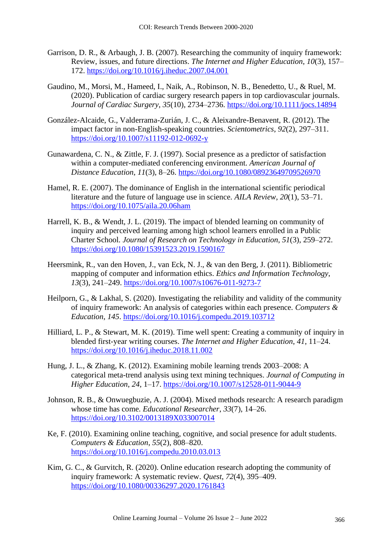- Garrison, D. R., & Arbaugh, J. B. (2007). Researching the community of inquiry framework: Review, issues, and future directions. *The Internet and Higher Education*, *10*(3), 157– 172.<https://doi.org/10.1016/j.iheduc.2007.04.001>
- Gaudino, M., Morsi, M., Hameed, I., Naik, A., Robinson, N. B., Benedetto, U., & Ruel, M. (2020). Publication of cardiac surgery research papers in top cardiovascular journals. *Journal of Cardiac Surgery*, *35*(10), 2734–2736.<https://doi.org/10.1111/jocs.14894>
- González-Alcaide, G., Valderrama-Zurián, J. C., & Aleixandre-Benavent, R. (2012). The impact factor in non-English-speaking countries. *Scientometrics*, *92*(2), 297–311. <https://doi.org/10.1007/s11192-012-0692-y>
- Gunawardena, C. N., & Zittle, F. J. (1997). Social presence as a predictor of satisfaction within a computer-mediated conferencing environment. *American Journal of Distance Education*, *11*(3), 8–26. <https://doi.org/10.1080/08923649709526970>
- Hamel, R. E. (2007). The dominance of English in the international scientific periodical literature and the future of language use in science. *AILA Review*, *20*(1), 53–71. <https://doi.org/10.1075/aila.20.06ham>
- Harrell, K. B., & Wendt, J. L. (2019). The impact of blended learning on community of inquiry and perceived learning among high school learners enrolled in a Public Charter School. *Journal of Research on Technology in Education*, *51*(3), 259–272. <https://doi.org/10.1080/15391523.2019.1590167>
- Heersmink, R., van den Hoven, J., van Eck, N. J., & van den Berg, J. (2011). Bibliometric mapping of computer and information ethics. *Ethics and Information Technology*, *13*(3), 241–249.<https://doi.org/10.1007/s10676-011-9273-7>
- Heilporn, G., & Lakhal, S. (2020). Investigating the reliability and validity of the community of inquiry framework: An analysis of categories within each presence. *Computers & Education*, *145*.<https://doi.org/10.1016/j.compedu.2019.103712>
- Hilliard, L. P., & Stewart, M. K. (2019). Time well spent: Creating a community of inquiry in blended first-year writing courses. *The Internet and Higher Education*, *41*, 11–24. <https://doi.org/10.1016/j.iheduc.2018.11.002>
- Hung, J. L., & Zhang, K. (2012). Examining mobile learning trends 2003–2008: A categorical meta-trend analysis using text mining techniques. *Journal of Computing in Higher Education*, *24*, 1–17.<https://doi.org/10.1007/s12528-011-9044-9>
- Johnson, R. B., & Onwuegbuzie, A. J. (2004). Mixed methods research: A research paradigm whose time has come. *Educational Researcher*, *33*(7), 14–26. <https://doi.org/10.3102/0013189X033007014>
- Ke, F. (2010). Examining online teaching, cognitive, and social presence for adult students. *Computers & Education*, *55*(2), 808–820. <https://doi.org/10.1016/j.compedu.2010.03.013>
- Kim, G. C., & Gurvitch, R. (2020). Online education research adopting the community of inquiry framework: A systematic review. *Quest*, *72*(4), 395–409. <https://doi.org/10.1080/00336297.2020.1761843>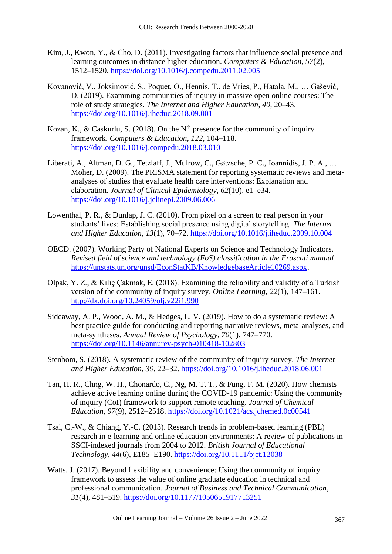- Kim, J., Kwon, Y., & Cho, D. (2011). Investigating factors that influence social presence and learning outcomes in distance higher education. *Computers & Education*, *57*(2), 1512–1520.<https://doi.org/10.1016/j.compedu.2011.02.005>
- Kovanović, V., Joksimović, S., Poquet, O., Hennis, T., de Vries, P., Hatala, M., … Gašević, D. (2019). Examining communities of inquiry in massive open online courses: The role of study strategies. *The Internet and Higher Education*, *40*, 20–43. <https://doi.org/10.1016/j.iheduc.2018.09.001>
- Kozan, K., & Caskurlu, S. (2018). On the  $N<sup>th</sup>$  presence for the community of inquiry framework. *Computers & Education*, *122*, 104–118. <https://doi.org/10.1016/j.compedu.2018.03.010>
- Liberati, A., Altman, D. G., Tetzlaff, J., Mulrow, C., Gøtzsche, P. C., Ioannidis, J. P. A., … Moher, D. (2009). The PRISMA statement for reporting systematic reviews and metaanalyses of studies that evaluate health care interventions: Explanation and elaboration. *Journal of Clinical Epidemiology*, *62*(10), e1–e34. <https://doi.org/10.1016/j.jclinepi.2009.06.006>
- Lowenthal, P. R., & Dunlap, J. C. (2010). From pixel on a screen to real person in your students' lives: Establishing social presence using digital storytelling. *The Internet and Higher Education*, *13*(1), 70–72.<https://doi.org/10.1016/j.iheduc.2009.10.004>
- OECD. (2007). Working Party of National Experts on Science and Technology Indicators. *Revised field of science and technology (FoS) classification in the Frascati manual*. [https://unstats.un.org/unsd/EconStatKB/KnowledgebaseArticle10269.aspx.](https://unstats.un.org/unsd/EconStatKB/KnowledgebaseArticle10269.aspx)
- Olpak, Y. Z., & Kılıç Çakmak, E. (2018). Examining the reliability and validity of a Turkish version of the community of inquiry survey. *Online Learning*, *22*(1), 147–161. <http://dx.doi.org/10.24059/olj.v22i1.990>
- Siddaway, A. P., Wood, A. M., & Hedges, L. V. (2019). How to do a systematic review: A best practice guide for conducting and reporting narrative reviews, meta-analyses, and meta-syntheses. *Annual Review of Psychology*, *70*(1), 747–770. <https://doi.org/10.1146/annurev-psych-010418-102803>
- Stenbom, S. (2018). A systematic review of the community of inquiry survey. *The Internet and Higher Education*, *39*, 22–32.<https://doi.org/10.1016/j.iheduc.2018.06.001>
- Tan, H. R., Chng, W. H., Chonardo, C., Ng, M. T. T., & Fung, F. M. (2020). How chemists achieve active learning online during the COVID-19 pandemic: Using the community of inquiry (CoI) framework to support remote teaching. *Journal of Chemical Education*, *97*(9), 2512–2518.<https://doi.org/10.1021/acs.jchemed.0c00541>
- Tsai, C.-W., & Chiang, Y.-C. (2013). Research trends in problem-based learning (PBL) research in e-learning and online education environments: A review of publications in SSCI-indexed journals from 2004 to 2012. *British Journal of Educational Technology*, *44*(6), E185–E190. <https://doi.org/10.1111/bjet.12038>
- Watts, J. (2017). Beyond flexibility and convenience: Using the community of inquiry framework to assess the value of online graduate education in technical and professional communication. *Journal of Business and Technical Communication*, *31*(4), 481–519. [https://doi.org/10.1177/1050651917713251](https://doi.org/10.1177%2F1050651917713251)